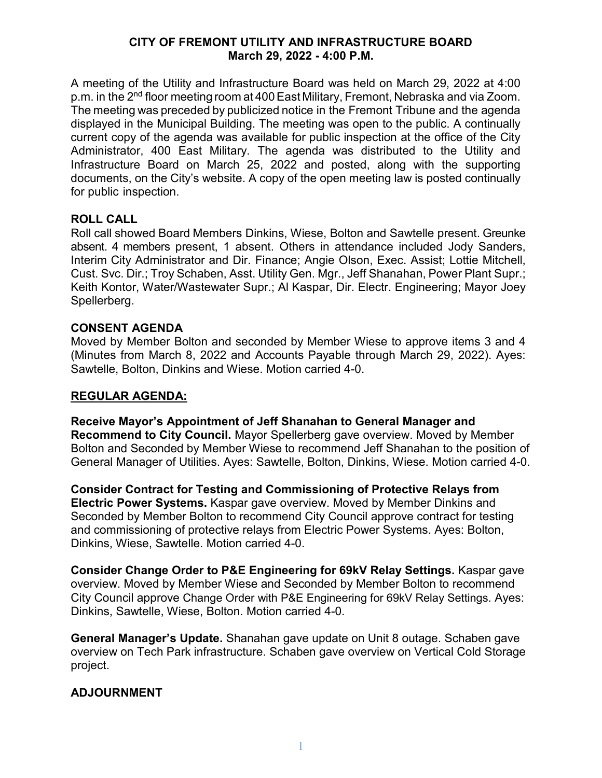#### **CITY OF FREMONT UTILITY AND INFRASTRUCTURE BOARD March 29, 2022 - 4:00 P.M.**

A meeting of the Utility and Infrastructure Board was held on March 29, 2022 at 4:00 p.m. in the 2<sup>nd</sup> floor meeting room at 400 East Military, Fremont, Nebraska and via Zoom. The meeting was preceded by publicized notice in the Fremont Tribune and the agenda displayed in the Municipal Building. The meeting was open to the public. A continually current copy of the agenda was available for public inspection at the office of the City Administrator, 400 East Military. The agenda was distributed to the Utility and Infrastructure Board on March 25, 2022 and posted, along with the supporting documents, on the City's website. A copy of the open meeting law is posted continually for public inspection.

### **ROLL CALL**

Roll call showed Board Members Dinkins, Wiese, Bolton and Sawtelle present. Greunke absent. 4 members present, 1 absent. Others in attendance included Jody Sanders, Interim City Administrator and Dir. Finance; Angie Olson, Exec. Assist; Lottie Mitchell, Cust. Svc. Dir.; Troy Schaben, Asst. Utility Gen. Mgr., Jeff Shanahan, Power Plant Supr.; Keith Kontor, Water/Wastewater Supr.; Al Kaspar, Dir. Electr. Engineering; Mayor Joey Spellerberg.

### **CONSENT AGENDA**

Moved by Member Bolton and seconded by Member Wiese to approve items 3 and 4 (Minutes from March 8, 2022 and Accounts Payable through March 29, 2022). Ayes: Sawtelle, Bolton, Dinkins and Wiese. Motion carried 4-0.

## **REGULAR AGENDA:**

**Receive Mayor's Appointment of Jeff Shanahan to General Manager and Recommend to City Council.** Mayor Spellerberg gave overview. Moved by Member Bolton and Seconded by Member Wiese to recommend Jeff Shanahan to the position of General Manager of Utilities. Ayes: Sawtelle, Bolton, Dinkins, Wiese. Motion carried 4-0.

**Consider Contract for Testing and Commissioning of Protective Relays from Electric Power Systems.** Kaspar gave overview. Moved by Member Dinkins and Seconded by Member Bolton to recommend City Council approve contract for testing and commissioning of protective relays from Electric Power Systems. Ayes: Bolton, Dinkins, Wiese, Sawtelle. Motion carried 4-0.

**Consider Change Order to P&E Engineering for 69kV Relay Settings.** Kaspar gave overview. Moved by Member Wiese and Seconded by Member Bolton to recommend City Council approve Change Order with P&E Engineering for 69kV Relay Settings. Ayes: Dinkins, Sawtelle, Wiese, Bolton. Motion carried 4-0.

**General Manager's Update.** Shanahan gave update on Unit 8 outage. Schaben gave overview on Tech Park infrastructure. Schaben gave overview on Vertical Cold Storage project.

# **ADJOURNMENT**